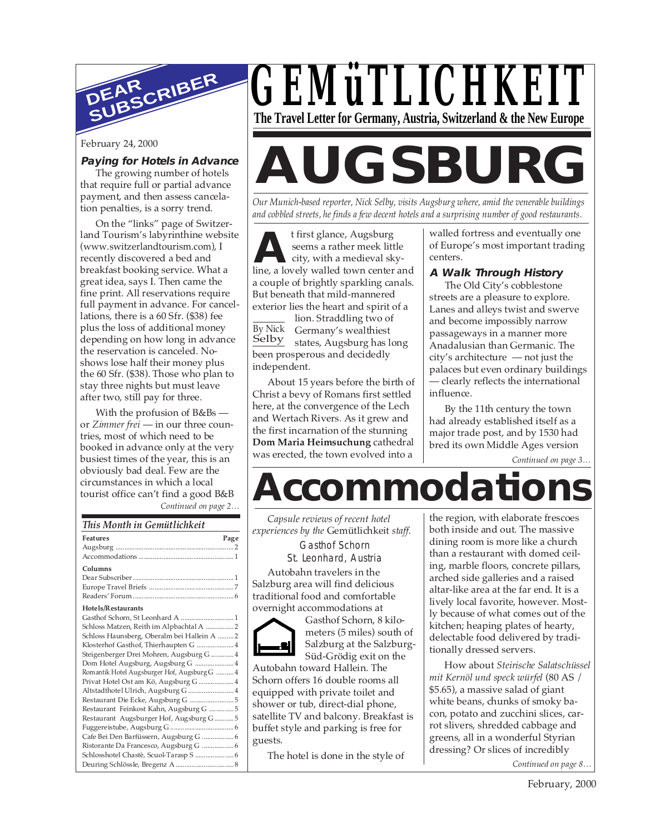

#### **Paying for Hotels in Advance**

The growing number of hotels that require full or partial advance payment, and then assess cancelation penalties, is a sorry trend.

On the "links" page of Switzerland Tourism's labyrinthine website (www.switzerlandtourism.com), I recently discovered a bed and breakfast booking service. What a great idea, says I. Then came the fine print. All reservations require full payment in advance. For cancellations, there is a 60 Sfr. (\$38) fee plus the loss of additional money depending on how long in advance the reservation is canceled. Noshows lose half their money plus the 60 Sfr. (\$38). Those who plan to stay three nights but must leave after two, still pay for three.

With the profusion of B&Bs or *Zimmer frei* — in our three countries, most of which need to be booked in advance only at the very busiest times of the year, this is an obviously bad deal. Few are the circumstances in which a local tourist office can't find a good B&B

*Continued on page 2…*

#### *This Month in Gemütlichkeit*

| <b>Features</b><br>Page                      |
|----------------------------------------------|
|                                              |
|                                              |
| Columns                                      |
|                                              |
|                                              |
|                                              |
| Hotels/Restaurants                           |
| Gasthof Schorn, St Leonhard A  1             |
| Schloss Matzen, Reith im Alpbachtal A  2     |
| Schloss Haunsberg, Oberalm bei Hallein A  2  |
| Klosterhof Gasthof, Thierhaupten G  4        |
| Steigenberger Drei Mohren, Augsburg G  4     |
| Dom Hotel Augsburg, Augsburg G  4            |
| Romantik Hotel Augsburger Hof, Augsburg G  4 |
| Privat Hotel Ost am Kö, Augsburg G  4        |
| Altstadthotel Ulrich, Augsburg G 4           |
| Restaurant Die Ecke, Augsburg G  5           |
| Restaurant Feinkost Kahn, Augsburg G  5      |
| Restaurant Augsburger Hof, Augsburg G 5      |
|                                              |
| Cafe Bei Den Barfüssern, Augsburg G  6       |
| Ristorante Da Francesco, Augsburg G  6       |
| Schlosshotel Chastè, Scuol-Tarasp S  6       |
|                                              |



# February 24, 2000<br>The growing number of hotels<br>**AUGSBURG**

*Our Munich-based reporter, Nick Selby, visits Augsburg where, amid the venerable buildings and cobbled streets, he finds a few decent hotels and a surprising number of good restaurants.*

**A** t first glance, Augsburg<br>
seems a rather meek little<br>
city, with a medieval sky-<br>
line, a lovely walled town center and t first glance, Augsburg seems a rather meek little city, with a medieval skya couple of brightly sparkling canals. But beneath that mild-mannered exterior lies the heart and spirit of a

lion. Straddling two of Germany's wealthiest states, Augsburg has long been prosperous and decidedly independent. By Nick Selby

About 15 years before the birth of Christ a bevy of Romans first settled here, at the convergence of the Lech and Wertach Rivers. As it grew and the first incarnation of the stunning **Dom Maria Heimsuchung** cathedral was erected, the town evolved into a

walled fortress and eventually one of Europe's most important trading centers.

#### **A Walk Through History**

The Old City's cobblestone streets are a pleasure to explore. Lanes and alleys twist and swerve and become impossibly narrow passageways in a manner more Anadalusian than Germanic. The city's architecture — not just the palaces but even ordinary buildings — clearly reflects the international influence.

By the 11th century the town had already established itself as a major trade post, and by 1530 had bred its own Middle Ages version

*Continued on page 3…*

## **Accommodations**

*Capsule reviews of recent hotel experiences by the* Gemütlichkeit *staff.*

Gasthof Schorn St. Leonhard, Austria

Autobahn travelers in the Salzburg area will find delicious traditional food and comfortable overnight accommodations at

Gasthof Schorn, 8 kilometers (5 miles) south of Salzburg at the Salzburg-Süd-Grödig exit on the

Autobahn toward Hallein. The Schorn offers 16 double rooms all equipped with private toilet and shower or tub, direct-dial phone, satellite TV and balcony. Breakfast is buffet style and parking is free for guests.

The hotel is done in the style of

the region, with elaborate frescoes both inside and out. The massive dining room is more like a church than a restaurant with domed ceiling, marble floors, concrete pillars, arched side galleries and a raised altar-like area at the far end. It is a lively local favorite, however. Mostly because of what comes out of the kitchen; heaping plates of hearty, delectable food delivered by traditionally dressed servers.

How about *Steirische Salatschüssel mit Kernöl und speck würfel* (80 AS / \$5.65), a massive salad of giant white beans, chunks of smoky bacon, potato and zucchini slices, carrot slivers, shredded cabbage and greens, all in a wonderful Styrian dressing? Or slices of incredibly

*Continued on page 8…*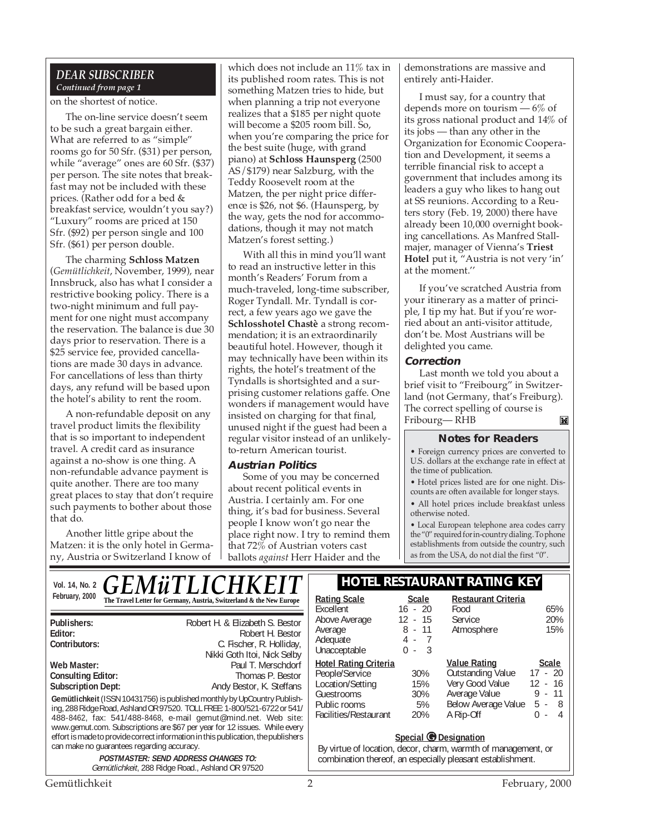#### *DEAR SUBSCRIBER Continued from page 1*

#### on the shortest of notice.

The on-line service doesn't seem to be such a great bargain either. What are referred to as "simple" rooms go for 50 Sfr. (\$31) per person, while "average" ones are 60 Sfr. (\$37) per person. The site notes that breakfast may not be included with these prices. (Rather odd for a bed & breakfast service, wouldn't you say?) "Luxury" rooms are priced at 150 Sfr. (\$92) per person single and 100 Sfr. (\$61) per person double.

The charming **Schloss Matzen** (*Gemütlichkeit*, November, 1999), near Innsbruck, also has what I consider a restrictive booking policy. There is a two-night minimum and full payment for one night must accompany the reservation. The balance is due 30 days prior to reservation. There is a \$25 service fee, provided cancellations are made 30 days in advance. For cancellations of less than thirty days, any refund will be based upon the hotel's ability to rent the room.

A non-refundable deposit on any travel product limits the flexibility that is so important to independent travel. A credit card as insurance against a no-show is one thing. A non-refundable advance payment is quite another. There are too many great places to stay that don't require such payments to bother about those that do.

Another little gripe about the Matzen: it is the only hotel in Germany, Austria or Switzerland I know of

which does not include an 11% tax in its published room rates. This is not something Matzen tries to hide, but when planning a trip not everyone realizes that a \$185 per night quote will become a \$205 room bill. So, when you're comparing the price for the best suite (huge, with grand piano) at **Schloss Haunsperg** (2500 AS/\$179) near Salzburg, with the Teddy Roosevelt room at the Matzen, the per night price difference is \$26, not \$6. (Haunsperg, by the way, gets the nod for accommodations, though it may not match Matzen's forest setting.)

With all this in mind you'll want to read an instructive letter in this month's Readers' Forum from a much-traveled, long-time subscriber, Roger Tyndall. Mr. Tyndall is correct, a few years ago we gave the **Schlosshotel Chastè** a strong recommendation; it is an extraordinarily beautiful hotel. However, though it may technically have been within its rights, the hotel's treatment of the Tyndalls is shortsighted and a surprising customer relations gaffe. One wonders if management would have insisted on charging for that final, unused night if the guest had been a regular visitor instead of an unlikelyto-return American tourist.

#### **Austrian Politics**

Some of you may be concerned about recent political events in Austria. I certainly am. For one thing, it's bad for business. Several people I know won't go near the place right now. I try to remind them that 72% of Austrian voters cast ballots *against* Herr Haider and the

demonstrations are massive and entirely anti-Haider.

I must say, for a country that depends more on tourism  $-6\%$  of its gross national product and 14% of its jobs — than any other in the Organization for Economic Cooperation and Development, it seems a terrible financial risk to accept a government that includes among its leaders a guy who likes to hang out at SS reunions. According to a Reuters story (Feb. 19, 2000) there have already been 10,000 overnight booking cancellations. As Manfred Stallmajer, manager of Vienna's **Triest Hotel** put it, "Austria is not very 'in' at the moment.''

If you've scratched Austria from your itinerary as a matter of principle, I tip my hat. But if you're worried about an anti-visitor attitude, don't be. Most Austrians will be delighted you came.

#### **Correction**

Last month we told you about a brief visit to "Freibourg" in Switzerland (not Germany, that's Freiburg). The correct spelling of course is Fribourg— RHB $\mathbb{M}$ 

#### **Notes for Readers**

• Foreign currency prices are converted to U.S. dollars at the exchange rate in effect at the time of publication.

• Hotel prices listed are for one night. Discounts are often available for longer stays.

• All hotel prices include breakfast unless otherwise noted.

• Local European telephone area codes carry the "0" required for in-country dialing. To phone establishments from outside the country, such as from the USA, do not dial the first "0".

#### Vol. 14, No. 2 **C F M ii T I I C H K F I T** | HOTEL RESTAURANT RATING KEY February, 2000 **The Travel Letter for Germany, Austria, Switzerland & the New Europe** | **Rating Scale** Scale *GEMüTLICHKEIT*

| Publishers:                                                                                                                                                                                                                                                                                                                                                                                                                           | Robert H. & Elizabeth S. Bestor |  |
|---------------------------------------------------------------------------------------------------------------------------------------------------------------------------------------------------------------------------------------------------------------------------------------------------------------------------------------------------------------------------------------------------------------------------------------|---------------------------------|--|
| Editor:                                                                                                                                                                                                                                                                                                                                                                                                                               | Robert H. Bestor                |  |
| Contributors:                                                                                                                                                                                                                                                                                                                                                                                                                         | C. Fischer, R. Holliday,        |  |
|                                                                                                                                                                                                                                                                                                                                                                                                                                       | Nikki Goth Itoi, Nick Selby     |  |
| Web Master:                                                                                                                                                                                                                                                                                                                                                                                                                           | Paul T. Merschdorf              |  |
| <b>Consulting Editor:</b>                                                                                                                                                                                                                                                                                                                                                                                                             | Thomas P. Bestor                |  |
| <b>Subscription Dept:</b>                                                                                                                                                                                                                                                                                                                                                                                                             | Andy Bestor, K. Steffans        |  |
| Gemütlichkeit (ISSN 10431756) is published monthly by UpCountry Publish-<br>ing, 288 Ridge Road, Ashland OR 97520. TOLL FREE: 1-800/521-6722 or 541/<br>488-8462, fax: 541/488-8468, e-mail gemut@mind.net. Web site:<br>www.gemut.com. Subscriptions are \$67 per year for 12 issues. While every<br>effort is made to provide correct information in this publication, the publishers<br>can make no quarantees regarding accuracy. |                                 |  |
| <b>POSTMASTER: SEND ADDRESS CHANGES TO:</b>                                                                                                                                                                                                                                                                                                                                                                                           |                                 |  |
| Gemütlichkeit. 288 Ridge Road., Ashland OR 97520                                                                                                                                                                                                                                                                                                                                                                                      |                                 |  |

| <b>Rating Scale</b>          | <b>Scale</b> | <b>Restaurant Criteria</b> |              |
|------------------------------|--------------|----------------------------|--------------|
| Excellent                    | $16 - 20$    | Food                       | 65%          |
| Above Average                | $12 - 15$    | Service                    | 20%          |
| Average                      | $8 - 11$     | Atmosphere                 | 15%          |
| Adequate                     | 4 - 7        |                            |              |
| Unacceptable                 | $0 - 3$      |                            |              |
| <b>Hotel Rating Criteria</b> |              | <b>Value Rating</b>        | <b>Scale</b> |
|                              |              |                            | $17 - 20$    |
| People/Service               | 30%          | <b>Outstanding Value</b>   |              |
| Location/Setting             | 15%          | Very Good Value            | 12 - 16      |
| Guestrooms                   | 30%          | Average Value              | $9 - 11$     |
| Public rooms                 | 5%           | Below Average Value        | $5 -$<br>- 8 |
| Facilities/Restaurant        | 20%          | A Rip-Off                  | U<br>4<br>÷, |

#### **Special © Designation**

By virtue of location, decor, charm, warmth of management, or combination thereof, an especially pleasant establishment.

Gemütlichkeit 2 February, 2000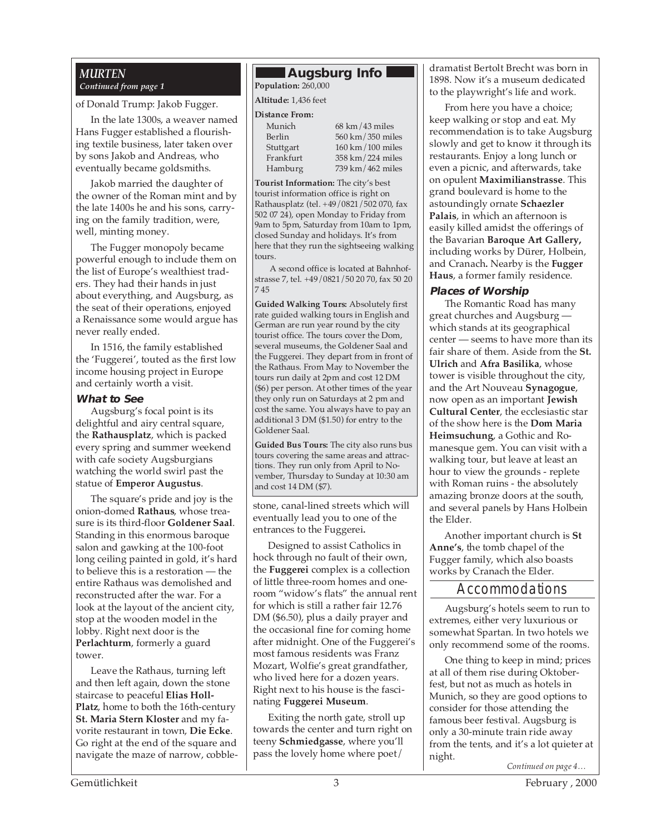#### *MURTEN Continued from page 1*

of Donald Trump: Jakob Fugger.

In the late 1300s, a weaver named Hans Fugger established a flourishing textile business, later taken over by sons Jakob and Andreas, who eventually became goldsmiths.

Jakob married the daughter of the owner of the Roman mint and by the late 1400s he and his sons, carrying on the family tradition, were, well, minting money.

The Fugger monopoly became powerful enough to include them on the list of Europe's wealthiest traders. They had their hands in just about everything, and Augsburg, as the seat of their operations, enjoyed a Renaissance some would argue has never really ended.

In 1516, the family established the 'Fuggerei', touted as the first low income housing project in Europe and certainly worth a visit.

#### **What to See**

Augsburg's focal point is its delightful and airy central square, the **Rathausplatz**, which is packed every spring and summer weekend with cafe society Augsburgians watching the world swirl past the statue of **Emperor Augustus**.

The square's pride and joy is the onion-domed **Rathaus**, whose treasure is its third-floor **Goldener Saal**. Standing in this enormous baroque salon and gawking at the 100-foot long ceiling painted in gold, it's hard to believe this is a restoration — the entire Rathaus was demolished and reconstructed after the war. For a look at the layout of the ancient city, stop at the wooden model in the lobby. Right next door is the **Perlachturm**, formerly a guard tower.

Leave the Rathaus, turning left and then left again, down the stone staircase to peaceful **Elias Holl-Platz**, home to both the 16th-century **St. Maria Stern Kloster** and my favorite restaurant in town, **Die Ecke**. Go right at the end of the square and navigate the maze of narrow, cobble-

### **Augsburg Info**

**Population:** 260,000

**Altitude:** 1,436 feet

#### **Distance From:**

Munich 68 km/43 miles Berlin 560 km/350 miles<br>Stuttgart 160 km/100 miles  $160 \text{ km} / 100 \text{ miles}$ Frankfurt 358 km/224 miles<br>Hamburg 739 km/462 miles 739 km/462 miles

**Tourist Information:** The city's best tourist information office is right on Rathausplatz (tel. +49/0821/502 070, fax 502 07 24), open Monday to Friday from 9am to 5pm, Saturday from 10am to 1pm, closed Sunday and holidays. It's from here that they run the sightseeing walking tours.

A second office is located at Bahnhofstrasse 7, tel. +49/0821/50 20 70, fax 50 20 7 45

**Guided Walking Tours:** Absolutely first rate guided walking tours in English and German are run year round by the city tourist office. The tours cover the Dom, several museums, the Goldener Saal and the Fuggerei. They depart from in front of the Rathaus. From May to November the tours run daily at 2pm and cost 12 DM (\$6) per person. At other times of the year they only run on Saturdays at 2 pm and cost the same. You always have to pay an additional 3 DM (\$1.50) for entry to the Goldener Saal.

**Guided Bus Tours:** The city also runs bus tours covering the same areas and attractions. They run only from April to November, Thursday to Sunday at 10:30 am and cost 14 DM (\$7).

stone, canal-lined streets which will eventually lead you to one of the entrances to the Fuggerei**.**

Designed to assist Catholics in hock through no fault of their own, the **Fuggerei** complex is a collection of little three-room homes and oneroom "widow's flats" the annual rent for which is still a rather fair 12.76 DM (\$6.50), plus a daily prayer and the occasional fine for coming home after midnight. One of the Fuggerei's most famous residents was Franz Mozart, Wolfie's great grandfather, who lived here for a dozen years. Right next to his house is the fascinating **Fuggerei Museum**.

Exiting the north gate, stroll up towards the center and turn right on teeny **Schmiedgasse**, where you'll pass the lovely home where poet/

dramatist Bertolt Brecht was born in 1898. Now it's a museum dedicated to the playwright's life and work.

From here you have a choice; keep walking or stop and eat. My recommendation is to take Augsburg slowly and get to know it through its restaurants. Enjoy a long lunch or even a picnic, and afterwards, take on opulent **Maximilianstrasse**. This grand boulevard is home to the astoundingly ornate **Schaezler Palais**, in which an afternoon is easily killed amidst the offerings of the Bavarian **Baroque Art Gallery,** including works by Dürer, Holbein, and Cranach**.** Nearby is the **Fugger Haus**, a former family residence.

#### **Places of Worship**

The Romantic Road has many great churches and Augsburg which stands at its geographical center — seems to have more than its fair share of them. Aside from the **St. Ulrich** and **Afra Basilika**, whose tower is visible throughout the city, and the Art Nouveau **Synagogue**, now open as an important **Jewish Cultural Center**, the ecclesiastic star of the show here is the **Dom Maria Heimsuchung**, a Gothic and Romanesque gem. You can visit with a walking tour, but leave at least an hour to view the grounds - replete with Roman ruins - the absolutely amazing bronze doors at the south, and several panels by Hans Holbein the Elder.

Another important church is **St Anne's**, the tomb chapel of the Fugger family, which also boasts works by Cranach the Elder.

#### Accommodations

Augsburg's hotels seem to run to extremes, either very luxurious or somewhat Spartan. In two hotels we only recommend some of the rooms.

One thing to keep in mind; prices at all of them rise during Oktoberfest, but not as much as hotels in Munich, so they are good options to consider for those attending the famous beer festival. Augsburg is only a 30-minute train ride away from the tents, and it's a lot quieter at night.

*Continued on page 4…*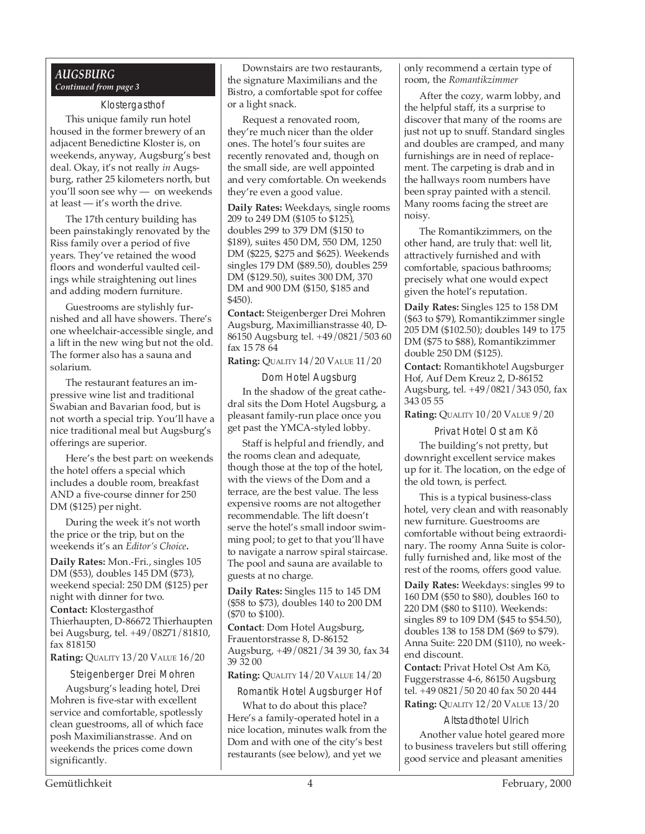#### *AUGSBURG Continued from page 3*

Klostergasthof This unique family run hotel housed in the former brewery of an adjacent Benedictine Kloster is, on weekends, anyway, Augsburg's best deal. Okay, it's not really *in* Augsburg, rather 25 kilometers north, but you'll soon see why — on weekends at least — it's worth the drive.

The 17th century building has been painstakingly renovated by the Riss family over a period of five years. They've retained the wood floors and wonderful vaulted ceilings while straightening out lines and adding modern furniture.

Guestrooms are stylishly furnished and all have showers. There's one wheelchair-accessible single, and a lift in the new wing but not the old. The former also has a sauna and solarium.

The restaurant features an impressive wine list and traditional Swabian and Bavarian food, but is not worth a special trip. You'll have a nice traditional meal but Augsburg's offerings are superior.

Here's the best part: on weekends the hotel offers a special which includes a double room, breakfast AND a five-course dinner for 250 DM (\$125) per night.

During the week it's not worth the price or the trip, but on the weekends it's an *Editor's Choice***.**

**Daily Rates:** Mon.-Fri., singles 105 DM (\$53), doubles 145 DM (\$73), weekend special: 250 DM (\$125) per night with dinner for two. **Contact:** Klostergasthof Thierhaupten, D-86672 Thierhaupten bei Augsburg, tel. +49/08271/81810, fax 818150

**Rating:** QUALITY 13/20 VALUE 16/20

Steigenberger Drei Mohren

Augsburg's leading hotel, Drei Mohren is five-star with excellent service and comfortable, spotlessly clean guestrooms, all of which face posh Maximilianstrasse. And on weekends the prices come down significantly.

the signature Maximilians and the Downstairs are two restaurants, Bistro, a comfortable spot for coffee or a light snack.

Request a renovated room, they're much nicer than the older ones. The hotel's four suites are recently renovated and, though on the small side, are well appointed and very comfortable. On weekends they're even a good value.

**Daily Rates:** Weekdays, single rooms 209 to 249 DM (\$105 to \$125), doubles 299 to 379 DM (\$150 to \$189), suites 450 DM, 550 DM, 1250 DM (\$225, \$275 and \$625). Weekends singles 179 DM (\$89.50), doubles 259 DM (\$129.50), suites 300 DM, 370 DM and 900 DM (\$150, \$185 and \$450).

**Contact:** Steigenberger Drei Mohren Augsburg, Maximillianstrasse 40, D-86150 Augsburg tel. +49/0821/503 60 fax 15 78 64

**Rating:** QUALITY 14/20 VALUE 11/20

Dom Hotel Augsburg In the shadow of the great cathedral sits the Dom Hotel Augsburg, a pleasant family-run place once you get past the YMCA-styled lobby.

Staff is helpful and friendly, and the rooms clean and adequate, though those at the top of the hotel, with the views of the Dom and a terrace, are the best value. The less expensive rooms are not altogether recommendable. The lift doesn't serve the hotel's small indoor swimming pool; to get to that you'll have to navigate a narrow spiral staircase. The pool and sauna are available to guests at no charge.

**Daily Rates:** Singles 115 to 145 DM (\$58 to \$73), doubles 140 to 200 DM (\$70 to \$100).

**Contact**: Dom Hotel Augsburg, Frauentorstrasse 8, D-86152 Augsburg, +49/0821/34 39 30, fax 34 39 32 00

**Rating:** QUALITY 14/20 VALUE 14/20

Romantik Hotel Augsburger Hof

What to do about this place? Here's a family-operated hotel in a nice location, minutes walk from the Dom and with one of the city's best restaurants (see below), and yet we

only recommend a certain type of room, the *Romantikzimmer*

After the cozy, warm lobby, and the helpful staff, its a surprise to discover that many of the rooms are just not up to snuff. Standard singles and doubles are cramped, and many furnishings are in need of replacement. The carpeting is drab and in the hallways room numbers have been spray painted with a stencil. Many rooms facing the street are noisy.

The Romantikzimmers, on the other hand, are truly that: well lit, attractively furnished and with comfortable, spacious bathrooms; precisely what one would expect given the hotel's reputation.

**Daily Rates:** Singles 125 to 158 DM (\$63 to \$79), Romantikzimmer single 205 DM (\$102.50); doubles 149 to 175 DM (\$75 to \$88), Romantikzimmer double 250 DM (\$125).

**Contact:** Romantikhotel Augsburger Hof, Auf Dem Kreuz 2, D-86152 Augsburg, tel. +49/0821/343 050, fax 343 05 55

**Rating:** QUALITY 10/20 VALUE 9/20

Privat Hotel Ost am Kö

The building's not pretty, but downright excellent service makes up for it. The location, on the edge of the old town, is perfect.

This is a typical business-class hotel, very clean and with reasonably new furniture. Guestrooms are comfortable without being extraordinary. The roomy Anna Suite is colorfully furnished and, like most of the rest of the rooms, offers good value.

**Daily Rates:** Weekdays: singles 99 to 160 DM (\$50 to \$80), doubles 160 to 220 DM (\$80 to \$110). Weekends: singles 89 to 109 DM (\$45 to \$54.50), doubles 138 to 158 DM (\$69 to \$79). Anna Suite: 220 DM (\$110), no weekend discount.

**Contact:** Privat Hotel Ost Am Kö, Fuggerstrasse 4-6, 86150 Augsburg tel. +49 0821/50 20 40 fax 50 20 444 **Rating:** QUALITY 12/20 VALUE 13/20

#### Altstadthotel Ulrich

Another value hotel geared more to business travelers but still offering good service and pleasant amenities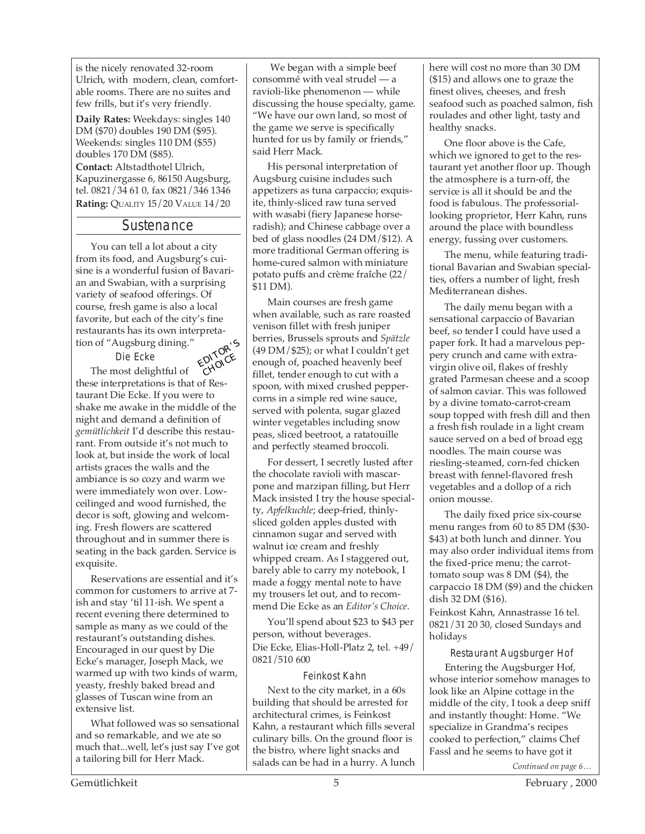is the nicely renovated 32-room Ulrich, with modern, clean, comfortable rooms. There are no suites and few frills, but it's very friendly.

**Daily Rates:** Weekdays: singles 140 DM (\$70) doubles 190 DM (\$95). Weekends: singles 110 DM (\$55) doubles 170 DM (\$85).

**Contact:** Altstadthotel Ulrich, Kapuzinergasse 6, 86150 Augsburg, tel. 0821/34 61 0, fax 0821/346 1346 **Rating:** QUALITY 15/20 VALUE 14/20

#### **Sustenance**

You can tell a lot about a city from its food, and Augsburg's cuisine is a wonderful fusion of Bavarian and Swabian, with a surprising variety of seafood offerings. Of course, fresh game is also a local favorite, but each of the city's fine restaurants has its own interpretation of "Augsburg dining."

Die Ecke



The most delightful of these interpretations is that of Restaurant Die Ecke. If you were to shake me awake in the middle of the night and demand a definition of *gemütlichkeit* I'd describe this restaurant. From outside it's not much to look at, but inside the work of local artists graces the walls and the ambiance is so cozy and warm we were immediately won over. Lowceilinged and wood furnished, the decor is soft, glowing and welcoming. Fresh flowers are scattered throughout and in summer there is seating in the back garden. Service is exquisite.

Reservations are essential and it's common for customers to arrive at 7 ish and stay 'til 11-ish. We spent a recent evening there determined to sample as many as we could of the restaurant's outstanding dishes. Encouraged in our quest by Die Ecke's manager, Joseph Mack, we warmed up with two kinds of warm, yeasty, freshly baked bread and glasses of Tuscan wine from an extensive list.

What followed was so sensational and so remarkable, and we ate so much that...well, let's just say I've got a tailoring bill for Herr Mack.

 We began with a simple beef consommé with veal strudel — a ravioli-like phenomenon — while discussing the house specialty, game. "We have our own land, so most of the game we serve is specifically hunted for us by family or friends," said Herr Mack.

His personal interpretation of Augsburg cuisine includes such appetizers as tuna carpaccio; exquisite, thinly-sliced raw tuna served with wasabi (fiery Japanese horseradish); and Chinese cabbage over a bed of glass noodles (24 DM/\$12). A more traditional German offering is home-cured salmon with miniature potato puffs and crème fraîche (22/ \$11 DM).

Main courses are fresh game when available, such as rare roasted venison fillet with fresh juniper berries, Brussels sprouts and *Spätzle*  $(49 \text{ DM}/\$25)$ ; or what I couldn't get enough of, poached heavenly beef fillet, tender enough to cut with a spoon, with mixed crushed peppercorns in a simple red wine sauce, served with polenta, sugar glazed winter vegetables including snow peas, sliced beetroot, a ratatouille and perfectly steamed broccoli.

For dessert, I secretly lusted after the chocolate ravioli with mascarpone and marzipan filling, but Herr Mack insisted I try the house specialty, *Apfelkuchle*; deep-fried, thinlysliced golden apples dusted with cinnamon sugar and served with walnut ice cream and freshly whipped cream. As I staggered out, barely able to carry my notebook, I made a foggy mental note to have my trousers let out, and to recommend Die Ecke as an *Editor's Choice*.

You'll spend about \$23 to \$43 per person, without beverages. Die Ecke, Elias-Holl-Platz 2, tel. +49/ 0821/510 600

#### Feinkost Kahn

Next to the city market, in a 60s building that should be arrested for architectural crimes, is Feinkost Kahn, a restaurant which fills several culinary bills. On the ground floor is the bistro, where light snacks and salads can be had in a hurry. A lunch here will cost no more than 30 DM (\$15) and allows one to graze the finest olives, cheeses, and fresh seafood such as poached salmon, fish roulades and other light, tasty and healthy snacks.

One floor above is the Cafe, which we ignored to get to the restaurant yet another floor up. Though the atmosphere is a turn-off, the service is all it should be and the food is fabulous. The professoriallooking proprietor, Herr Kahn, runs around the place with boundless energy, fussing over customers.

The menu, while featuring traditional Bavarian and Swabian specialties, offers a number of light, fresh Mediterranean dishes.

The daily menu began with a sensational carpaccio of Bavarian beef, so tender I could have used a paper fork. It had a marvelous peppery crunch and came with extravirgin olive oil, flakes of freshly grated Parmesan cheese and a scoop of salmon caviar. This was followed by a divine tomato-carrot-cream soup topped with fresh dill and then a fresh fish roulade in a light cream sauce served on a bed of broad egg noodles. The main course was riesling-steamed, corn-fed chicken breast with fennel-flavored fresh vegetables and a dollop of a rich onion mousse.

The daily fixed price six-course menu ranges from 60 to 85 DM (\$30- \$43) at both lunch and dinner. You may also order individual items from the fixed-price menu; the carrottomato soup was 8 DM (\$4), the carpaccio 18 DM (\$9) and the chicken dish 32 DM (\$16).

Feinkost Kahn, Annastrasse 16 tel. 0821/31 20 30, closed Sundays and holidays

Restaurant Augsburger Hof Entering the Augsburger Hof, whose interior somehow manages to look like an Alpine cottage in the middle of the city, I took a deep sniff and instantly thought: Home. "We specialize in Grandma's recipes cooked to perfection," claims Chef Fassl and he seems to have got it

*Continued on page 6…*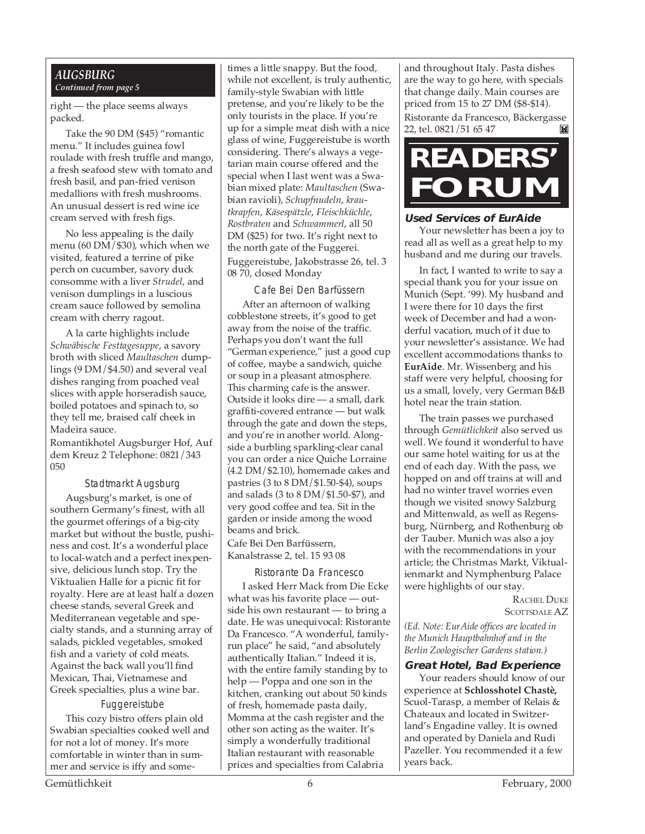#### *AUGSBURG Continued from page 5*

right — the place seems always packed.

Take the 90 DM (\$45) "romantic menu." It includes guinea fowl roulade with fresh truffle and mango, a fresh seafood stew with tomato and fresh basil, and pan-fried venison medallions with fresh mushrooms. An unusual dessert is red wine ice cream served with fresh figs.

No less appealing is the daily menu (60 DM/\$30), which when we visited, featured a terrine of pike perch on cucumber, savory duck consomme with a liver *Strudel*, and venison dumplings in a luscious cream sauce followed by semolina cream with cherry ragout.

A la carte highlights include *Schwäbische Festtagesuppe*, a savory broth with sliced *Maultaschen* dumplings (9 DM/\$4.50) and several veal dishes ranging from poached veal slices with apple horseradish sauce, boiled potatoes and spinach to, so they tell me, braised calf cheek in Madeira sauce.

Romantikhotel Augsburger Hof, Auf dem Kreuz 2 Telephone: 0821/343 050

#### Stadtmarkt Augsburg

Augsburg's market, is one of southern Germany's finest, with all the gourmet offerings of a big-city market but without the bustle, pushiness and cost. It's a wonderful place to local-watch and a perfect inexpensive, delicious lunch stop. Try the Viktualien Halle for a picnic fit for royalty. Here are at least half a dozen cheese stands, several Greek and Mediterranean vegetable and specialty stands, and a stunning array of salads, pickled vegetables, smoked fish and a variety of cold meats. Against the back wall you'll find Mexican, Thai, Vietnamese and Greek specialties, plus a wine bar.

#### Fuggereistube

This cozy bistro offers plain old Swabian specialties cooked well and for not a lot of money. It's more comfortable in winter than in summer and service is iffy and sometimes a little snappy. But the food, while not excellent, is truly authentic, family-style Swabian with little pretense, and you're likely to be the only tourists in the place. If you're up for a simple meat dish with a nice glass of wine, Fuggereistube is worth considering. There's always a vegetarian main course offered and the special when I last went was a Swabian mixed plate: *Maultaschen* (Swabian ravioli), *Schupfnudeln*, *krautkrapfen*, *Käsespätzle*, *Fleischküchle*, *Rostbraten* and *Schwammerl*, all 50 DM (\$25) for two. It's right next to the north gate of the Fuggerei. Fuggereistube, Jakobstrasse 26, tel. 3 08 70, closed Monday

Cafe Bei Den Barfüssern After an afternoon of walking cobblestone streets, it's good to get away from the noise of the traffic. Perhaps you don't want the full "German experience," just a good cup of coffee, maybe a sandwich, quiche or soup in a pleasant atmosphere. This charming cafe is the answer. Outside it looks dire — a small, dark graffiti-covered entrance — but walk through the gate and down the steps, and you're in another world. Alongside a burbling sparkling-clear canal you can order a nice Quiche Lorraine (4.2 DM/\$2.10), homemade cakes and pastries (3 to 8 DM/\$1.50-\$4), soups and salads (3 to 8 DM/\$1.50-\$7), and very good coffee and tea. Sit in the garden or inside among the wood beams and brick.

Cafe Bei Den Barfüssern, Kanalstrasse 2, tel. 15 93 08

#### Ristorante Da Francesco

I asked Herr Mack from Die Ecke what was his favorite place — outside his own restaurant — to bring a date. He was unequivocal: Ristorante Da Francesco. "A wonderful, familyrun place" he said, "and absolutely authentically Italian." Indeed it is, with the entire family standing by to help — Poppa and one son in the kitchen, cranking out about 50 kinds of fresh, homemade pasta daily, Momma at the cash register and the other son acting as the waiter. It's simply a wonderfully traditional Italian restaurant with reasonable prices and specialties from Calabria

and throughout Italy. Pasta dishes are the way to go here, with specials that change daily. Main courses are priced from 15 to 27 DM (\$8-\$14). Ristorante da Francesco, Bäckergasse 22, tel. 0821/51 65 47 岡



#### **Used Services of EurAide**

Your newsletter has been a joy to read all as well as a great help to my husband and me during our travels.

In fact, I wanted to write to say a special thank you for your issue on Munich (Sept. '99). My husband and I were there for 10 days the first week of December and had a wonderful vacation, much of it due to your newsletter's assistance. We had excellent accommodations thanks to **EurAide**. Mr. Wissenberg and his staff were very helpful, choosing for us a small, lovely, very German B&B hotel near the train station.

The train passes we purchased through *Gemütlichkeit* also served us well. We found it wonderful to have our same hotel waiting for us at the end of each day. With the pass, we hopped on and off trains at will and had no winter travel worries even though we visited snowy Salzburg and Mittenwald, as well as Regensburg, Nürnberg, and Rothenburg ob der Tauber. Munich was also a joy with the recommendations in your article; the Christmas Markt, Viktualienmarkt and Nymphenburg Palace were highlights of our stay.

RACHEL DUKE SCOTTSDALE AZ

*(Ed. Note: EurAide offices are located in the Munich Hauptbahnhof and in the Berlin Zoologischer Gardens station.)*

#### **Great Hotel, Bad Experience**

Your readers should know of our experience at **Schlosshotel Chastè,** Scuol-Tarasp, a member of Relais & Chateaux and located in Switzerland's Engadine valley. It is owned and operated by Daniela and Rudi Pazeller. You recommended it a few years back.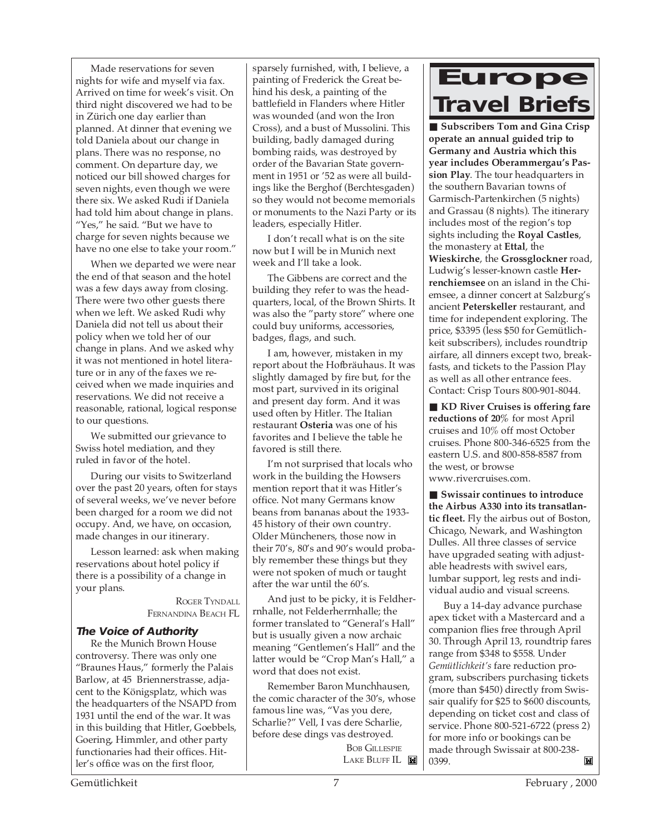Made reservations for seven nights for wife and myself via fax. Arrived on time for week's visit. On third night discovered we had to be in Zürich one day earlier than planned. At dinner that evening we told Daniela about our change in plans. There was no response, no comment. On departure day, we noticed our bill showed charges for seven nights, even though we were there six. We asked Rudi if Daniela had told him about change in plans. "Yes," he said. "But we have to charge for seven nights because we have no one else to take your room."

When we departed we were near the end of that season and the hotel was a few days away from closing. There were two other guests there when we left. We asked Rudi why Daniela did not tell us about their policy when we told her of our change in plans. And we asked why it was not mentioned in hotel literature or in any of the faxes we received when we made inquiries and reservations. We did not receive a reasonable, rational, logical response to our questions.

We submitted our grievance to Swiss hotel mediation, and they ruled in favor of the hotel.

During our visits to Switzerland over the past 20 years, often for stays of several weeks, we've never before been charged for a room we did not occupy. And, we have, on occasion, made changes in our itinerary.

Lesson learned: ask when making reservations about hotel policy if there is a possibility of a change in your plans.

> ROGER TYNDALL FERNANDINA BEACH FL

#### **The Voice of Authority**

Re the Munich Brown House controversy. There was only one "Braunes Haus," formerly the Palais Barlow, at 45 Briennerstrasse, adjacent to the Königsplatz, which was the headquarters of the NSAPD from 1931 until the end of the war. It was in this building that Hitler, Goebbels, Goering, Himmler, and other party functionaries had their offices. Hitler's office was on the first floor,

sparsely furnished, with, I believe, a painting of Frederick the Great behind his desk, a painting of the battlefield in Flanders where Hitler was wounded (and won the Iron Cross), and a bust of Mussolini. This building, badly damaged during bombing raids, was destroyed by order of the Bavarian State government in 1951 or '52 as were all buildings like the Berghof (Berchtesgaden) so they would not become memorials or monuments to the Nazi Party or its leaders, especially Hitler.

I don't recall what is on the site now but I will be in Munich next week and I'll take a look.

The Gibbens are correct and the building they refer to was the headquarters, local, of the Brown Shirts. It was also the "party store" where one could buy uniforms, accessories, badges, flags, and such.

I am, however, mistaken in my report about the Hofbräuhaus. It was slightly damaged by fire but, for the most part, survived in its original and present day form. And it was used often by Hitler. The Italian restaurant **Osteria** was one of his favorites and I believe the table he favored is still there.

I'm not surprised that locals who work in the building the Howsers mention report that it was Hitler's office. Not many Germans know beans from bananas about the 1933- 45 history of their own country. Older Müncheners, those now in their 70's, 80's and 90's would probably remember these things but they were not spoken of much or taught after the war until the 60's.

And just to be picky, it is Feldherrnhalle, not Felderherrnhalle; the former translated to "General's Hall" but is usually given a now archaic meaning "Gentlemen's Hall" and the latter would be "Crop Man's Hall," a word that does not exist.

Remember Baron Munchhausen, the comic character of the 30's, whose famous line was, "Vas you dere, Scharlie?" Vell, I vas dere Scharlie, before dese dings vas destroyed.

> **BOB GILLESPIE** LAKE BLUFF IL

### **Europe Travel Briefs**

■ Subscribers Tom and Gina Crisp **operate an annual guided trip to Germany and Austria which this year includes Oberammergau's Passion Play**. The tour headquarters in the southern Bavarian towns of Garmisch-Partenkirchen (5 nights) and Grassau (8 nights). The itinerary includes most of the region's top sights including the **Royal Castles**, the monastery at **Ettal**, the **Wieskirche**, the **Grossglockner** road, Ludwig's lesser-known castle **Herrenchiemsee** on an island in the Chiemsee, a dinner concert at Salzburg's ancient **Peterskeller** restaurant, and time for independent exploring. The price, \$3395 (less \$50 for Gemütlichkeit subscribers), includes roundtrip airfare, all dinners except two, breakfasts, and tickets to the Passion Play as well as all other entrance fees. Contact: Crisp Tours 800-901-8044.

■ **KD River Cruises is offering fare reductions of 20%** for most April cruises and 10% off most October cruises. Phone 800-346-6525 from the eastern U.S. and 800-858-8587 from the west, or browse www.rivercruises.com.

■ Swissair continues to introduce **the Airbus A330 into its transatlantic fleet.** Fly the airbus out of Boston, Chicago, Newark, and Washington Dulles. All three classes of service have upgraded seating with adjustable headrests with swivel ears, lumbar support, leg rests and individual audio and visual screens.

Buy a 14-day advance purchase apex ticket with a Mastercard and a companion flies free through April 30. Through April 13, roundtrip fares range from \$348 to \$558. Under *Gemütlichkeit's* fare reduction program, subscribers purchasing tickets (more than \$450) directly from Swissair qualify for \$25 to \$600 discounts, depending on ticket cost and class of service. Phone 800-521-6722 (press 2) for more info or bookings can be made through Swissair at 800-238- 0399.M